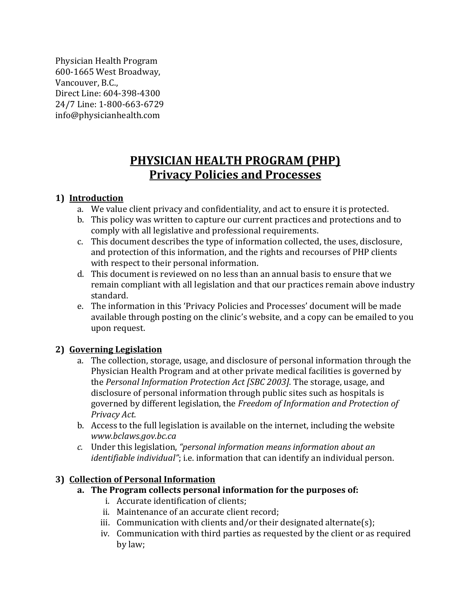Physician Health Program 600-1665 West Broadway, Vancouver, B.C., Direct Line: 604-398-4300 24/7 Line: 1-800-663-6729 info@physicianhealth.com

# **PHYSICIAN HEALTH PROGRAM (PHP) Privacy Policies and Processes**

#### **1) Introduction**

- a. We value client privacy and confidentiality, and act to ensure it is protected.
- b. This policy was written to capture our current practices and protections and to comply with all legislative and professional requirements.
- c. This document describes the type of information collected, the uses, disclosure, and protection of this information, and the rights and recourses of PHP clients with respect to their personal information.
- d. This document is reviewed on no less than an annual basis to ensure that we remain compliant with all legislation and that our practices remain above industry standard.
- e. The information in this 'Privacy Policies and Processes' document will be made available through posting on the clinic's website, and a copy can be emailed to you upon request.

#### **2) Governing Legislation**

- a. The collection, storage, usage, and disclosure of personal information through the Physician Health Program and at other private medical facilities is governed by the *Personal Information Protection Act [SBC 2003].* The storage, usage, and disclosure of personal information through public sites such as hospitals is governed by different legislation, the *Freedom of Information and Protection of Privacy Act.*
- b. Access to the full legislation is available on the internet, including the website *www.bclaws.gov.bc.ca*
- *c.* Under this legislation, *"personal information means information about an identifiable individual"*; i.e. information that can identify an individual person.

#### **3) Collection of Personal Information**

- **a. The Program collects personal information for the purposes of:**
	- i. Accurate identification of clients;
	- ii. Maintenance of an accurate client record;
	- iii. Communication with clients and/or their designated alternate(s);
	- iv. Communication with third parties as requested by the client or as required by law;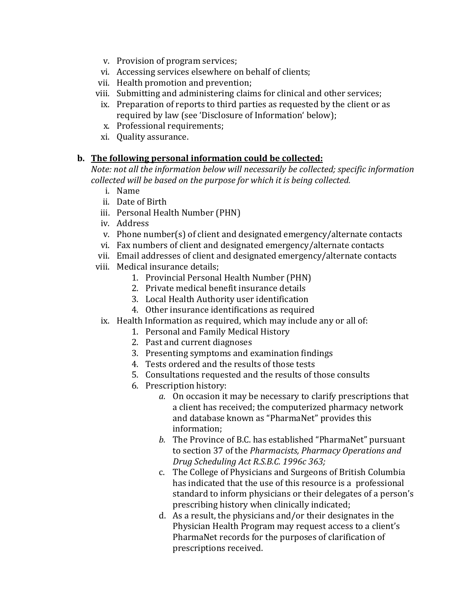- v. Provision of program services;
- vi. Accessing services elsewhere on behalf of clients;
- vii. Health promotion and prevention;
- viii. Submitting and administering claims for clinical and other services;
- ix. Preparation of reports to third parties as requested by the client or as required by law (see 'Disclosure of Information' below);
- x. Professional requirements;
- xi. Quality assurance.

#### **b. The following personal information could be collected:**

*Note: not all the information below will necessarily be collected; specific information collected will be based on the purpose for which it is being collected.*

- i. Name
- ii. Date of Birth
- iii. Personal Health Number (PHN)
- iv. Address
- v. Phone number(s) of client and designated emergency/alternate contacts
- vi. Fax numbers of client and designated emergency/alternate contacts
- vii. Email addresses of client and designated emergency/alternate contacts
- viii. Medical insurance details;
	- 1. Provincial Personal Health Number (PHN)
	- 2. Private medical benefit insurance details
	- 3. Local Health Authority user identification
	- 4. Other insurance identifications as required
	- ix. Health Information as required, which may include any or all of:
		- 1. Personal and Family Medical History
		- 2. Past and current diagnoses
		- 3. Presenting symptoms and examination findings
		- 4. Tests ordered and the results of those tests
		- 5. Consultations requested and the results of those consults
		- 6. Prescription history:
			- *a.* On occasion it may be necessary to clarify prescriptions that a client has received; the computerized pharmacy network and database known as "PharmaNet" provides this information;
			- *b.* The Province of B.C. has established "PharmaNet" pursuant to section 37 of the *Pharmacists, Pharmacy Operations and Drug Scheduling Act R.S.B.C. 1996c 363;*
			- c. The College of Physicians and Surgeons of British Columbia has indicated that the use of this resource is a professional standard to inform physicians or their delegates of a person's prescribing history when clinically indicated;
			- d. As a result, the physicians and/or their designates in the Physician Health Program may request access to a client's PharmaNet records for the purposes of clarification of prescriptions received.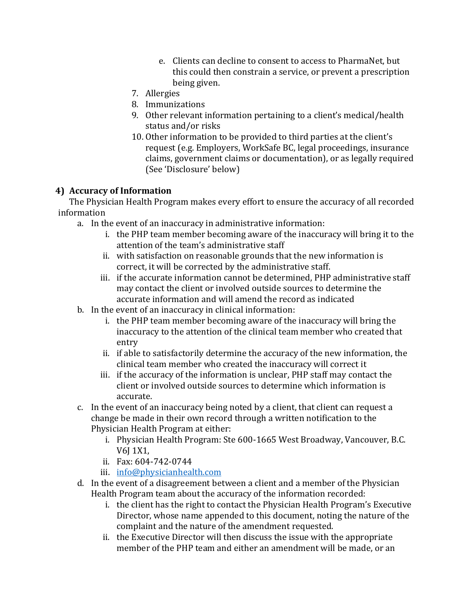- e. Clients can decline to consent to access to PharmaNet, but this could then constrain a service, or prevent a prescription being given.
- 7. Allergies
- 8. Immunizations
- 9. Other relevant information pertaining to a client's medical/health status and/or risks
- 10. Other information to be provided to third parties at the client's request (e.g. Employers, WorkSafe BC, legal proceedings, insurance claims, government claims or documentation), or as legally required (See 'Disclosure' below)

#### **4) Accuracy of Information**

The Physician Health Program makes every effort to ensure the accuracy of all recorded information

- a. In the event of an inaccuracy in administrative information:
	- i. the PHP team member becoming aware of the inaccuracy will bring it to the attention of the team's administrative staff
	- ii. with satisfaction on reasonable grounds that the new information is correct, it will be corrected by the administrative staff.
	- iii. if the accurate information cannot be determined, PHP administrative staff may contact the client or involved outside sources to determine the accurate information and will amend the record as indicated
- b. In the event of an inaccuracy in clinical information:
	- i. the PHP team member becoming aware of the inaccuracy will bring the inaccuracy to the attention of the clinical team member who created that entry
	- ii. if able to satisfactorily determine the accuracy of the new information, the clinical team member who created the inaccuracy will correct it
	- iii. if the accuracy of the information is unclear, PHP staff may contact the client or involved outside sources to determine which information is accurate.
- c. In the event of an inaccuracy being noted by a client, that client can request a change be made in their own record through a written notification to the Physician Health Program at either:
	- i. Physician Health Program: Ste 600-1665 West Broadway, Vancouver, B.C. V6J 1X1,
	- ii. Fax: 604-742-0744
	- iii. [info@physicianhealth.com](mailto:info@physicianhealth.com)
- d. In the event of a disagreement between a client and a member of the Physician Health Program team about the accuracy of the information recorded:
	- i. the client has the right to contact the Physician Health Program's Executive Director, whose name appended to this document, noting the nature of the complaint and the nature of the amendment requested.
	- ii. the Executive Director will then discuss the issue with the appropriate member of the PHP team and either an amendment will be made, or an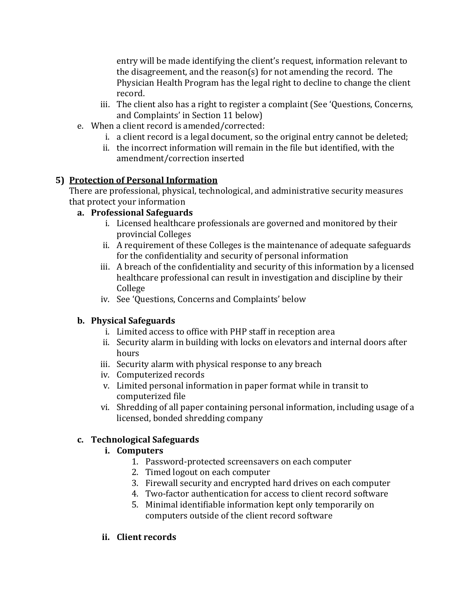entry will be made identifying the client's request, information relevant to the disagreement, and the reason(s) for not amending the record. The Physician Health Program has the legal right to decline to change the client record.

- iii. The client also has a right to register a complaint (See 'Questions, Concerns, and Complaints' in Section 11 below)
- e. When a client record is amended/corrected:
	- i. a client record is a legal document, so the original entry cannot be deleted;
	- ii. the incorrect information will remain in the file but identified, with the amendment/correction inserted

## **5) Protection of Personal Information**

There are professional, physical, technological, and administrative security measures that protect your information

#### **a. Professional Safeguards**

- i. Licensed healthcare professionals are governed and monitored by their provincial Colleges
- ii. A requirement of these Colleges is the maintenance of adequate safeguards for the confidentiality and security of personal information
- iii. A breach of the confidentiality and security of this information by a licensed healthcare professional can result in investigation and discipline by their College
- iv. See 'Questions, Concerns and Complaints' below

# **b. Physical Safeguards**

- i. Limited access to office with PHP staff in reception area
- ii. Security alarm in building with locks on elevators and internal doors after hours
- iii. Security alarm with physical response to any breach
- iv. Computerized records
- v. Limited personal information in paper format while in transit to computerized file
- vi. Shredding of all paper containing personal information, including usage of a licensed, bonded shredding company

# **c. Technological Safeguards**

#### **i. Computers**

- 1. Password-protected screensavers on each computer
- 2. Timed logout on each computer
- 3. Firewall security and encrypted hard drives on each computer
- 4. Two-factor authentication for access to client record software
- 5. Minimal identifiable information kept only temporarily on computers outside of the client record software
- **ii. Client records**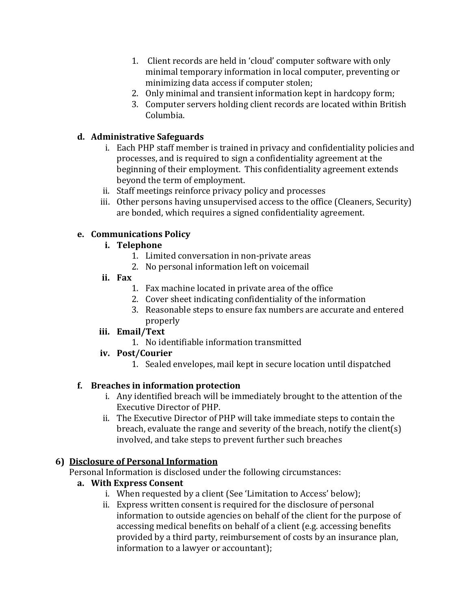- 1. Client records are held in 'cloud' computer software with only minimal temporary information in local computer, preventing or minimizing data access if computer stolen;
- 2. Only minimal and transient information kept in hardcopy form;
- 3. Computer servers holding client records are located within British Columbia.

## **d. Administrative Safeguards**

- i. Each PHP staff member is trained in privacy and confidentiality policies and processes, and is required to sign a confidentiality agreement at the beginning of their employment. This confidentiality agreement extends beyond the term of employment.
- ii. Staff meetings reinforce privacy policy and processes
- iii. Other persons having unsupervised access to the office (Cleaners, Security) are bonded, which requires a signed confidentiality agreement.

#### **e. Communications Policy**

#### **i. Telephone**

- 1. Limited conversation in non-private areas
- 2. No personal information left on voicemail
- **ii. Fax**
	- 1. Fax machine located in private area of the office
	- 2. Cover sheet indicating confidentiality of the information
	- 3. Reasonable steps to ensure fax numbers are accurate and entered properly

#### **iii. Email/Text**

- 1. No identifiable information transmitted
- **iv. Post/Courier**
	- 1. Sealed envelopes, mail kept in secure location until dispatched

#### **f. Breaches in information protection**

- i. Any identified breach will be immediately brought to the attention of the Executive Director of PHP.
- ii. The Executive Director of PHP will take immediate steps to contain the breach, evaluate the range and severity of the breach, notify the client(s) involved, and take steps to prevent further such breaches

#### **6) Disclosure of Personal Information**

Personal Information is disclosed under the following circumstances:

# **a. With Express Consent**

- i. When requested by a client (See 'Limitation to Access' below);
- ii. Express written consent is required for the disclosure of personal information to outside agencies on behalf of the client for the purpose of accessing medical benefits on behalf of a client (e.g. accessing benefits provided by a third party, reimbursement of costs by an insurance plan, information to a lawyer or accountant);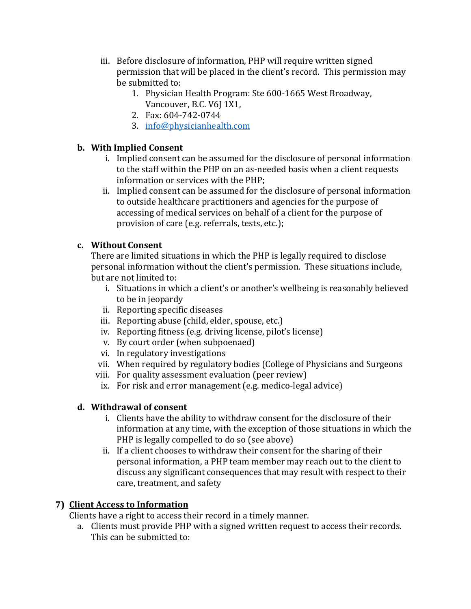- iii. Before disclosure of information, PHP will require written signed permission that will be placed in the client's record. This permission may be submitted to:
	- 1. Physician Health Program: Ste 600-1665 West Broadway, Vancouver, B.C. V6J 1X1,
	- 2. Fax: 604-742-0744
	- 3. [info@physicianhealth.com](mailto:info@physicianhealth.com)

#### **b. With Implied Consent**

- i. Implied consent can be assumed for the disclosure of personal information to the staff within the PHP on an as-needed basis when a client requests information or services with the PHP;
- ii. Implied consent can be assumed for the disclosure of personal information to outside healthcare practitioners and agencies for the purpose of accessing of medical services on behalf of a client for the purpose of provision of care (e.g. referrals, tests, etc.);

#### **c. Without Consent**

There are limited situations in which the PHP is legally required to disclose personal information without the client's permission. These situations include, but are not limited to:

- i. Situations in which a client's or another's wellbeing is reasonably believed to be in jeopardy
- ii. Reporting specific diseases
- iii. Reporting abuse (child, elder, spouse, etc.)
- iv. Reporting fitness (e.g. driving license, pilot's license)
- v. By court order (when subpoenaed)
- vi. In regulatory investigations
- vii. When required by regulatory bodies (College of Physicians and Surgeons
- viii. For quality assessment evaluation (peer review)
- ix. For risk and error management (e.g. medico-legal advice)

# **d. Withdrawal of consent**

- i. Clients have the ability to withdraw consent for the disclosure of their information at any time, with the exception of those situations in which the PHP is legally compelled to do so (see above)
- ii. If a client chooses to withdraw their consent for the sharing of their personal information, a PHP team member may reach out to the client to discuss any significant consequences that may result with respect to their care, treatment, and safety

# **7) Client Access to Information**

Clients have a right to access their record in a timely manner.

a. Clients must provide PHP with a signed written request to access their records. This can be submitted to: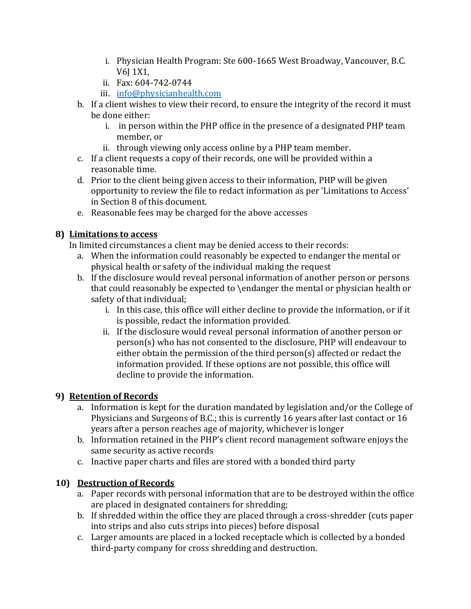- i. Physician Health Program: Ste 600-1665 West Broadway, Vancouver, B.C. V6J 1X1,
- ii. Fax: 604-742-0744
- iii. [info@physicianhealth.com](mailto:info@physicianhealth.com)
- b. If a client wishes to view their record, to ensure the integrity of the record it must be done either:
	- i. in person within the PHP office in the presence of a designated PHP team member, or
	- ii. through viewing only access online by a PHP team member.
- c. If a client requests a copy of their records, one will be provided within a reasonable time.
- d. Prior to the client being given access to their information, PHP will be given opportunity to review the file to redact information as per 'Limitations to Access' in Section 8 of this document.
- e. Reasonable fees may be charged for the above accesses

# **8) Limitations to access**

In limited circumstances a client may be denied access to their records:

- a. When the information could reasonably be expected to endanger the mental or physical health or safety of the individual making the request
- b. If the disclosure would reveal personal information of another person or persons that could reasonably be expected to \endanger the mental or physician health or safety of that individual;
	- i. In this case, this office will either decline to provide the information, or if it is possible, redact the information provided.
	- ii. If the disclosure would reveal personal information of another person or person(s) who has not consented to the disclosure, PHP will endeavour to either obtain the permission of the third person(s) affected or redact the information provided. If these options are not possible, this office will decline to provide the information.

# **9) Retention of Records**

- a. Information is kept for the duration mandated by legislation and/or the College of Physicians and Surgeons of B.C.; this is currently 16 years after last contact or 16 years after a person reaches age of majority, whichever is longer
- b. Information retained in the PHP's client record management software enjoys the same security as active records
- c. Inactive paper charts and files are stored with a bonded third party

# **10) Destruction of Records**

- a. Paper records with personal information that are to be destroyed within the office are placed in designated containers for shredding;
- b. If shredded within the office they are placed through a cross-shredder (cuts paper into strips and also cuts strips into pieces) before disposal
- c. Larger amounts are placed in a locked receptacle which is collected by a bonded third-party company for cross shredding and destruction.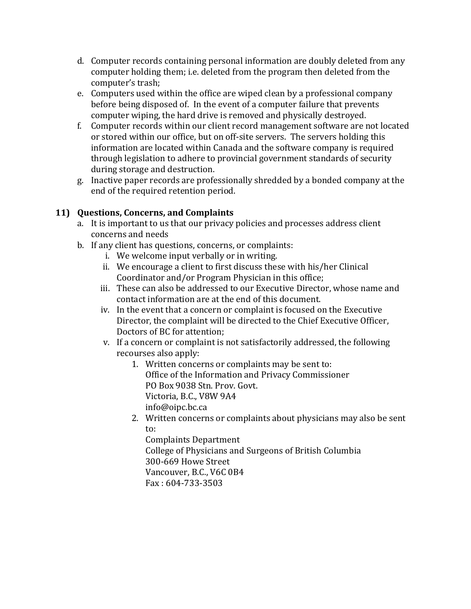- d. Computer records containing personal information are doubly deleted from any computer holding them; i.e. deleted from the program then deleted from the computer's trash;
- e. Computers used within the office are wiped clean by a professional company before being disposed of. In the event of a computer failure that prevents computer wiping, the hard drive is removed and physically destroyed.
- f. Computer records within our client record management software are not located or stored within our office, but on off-site servers. The servers holding this information are located within Canada and the software company is required through legislation to adhere to provincial government standards of security during storage and destruction.
- g. Inactive paper records are professionally shredded by a bonded company at the end of the required retention period.

## **11) Questions, Concerns, and Complaints**

- a. It is important to us that our privacy policies and processes address client concerns and needs
- b. If any client has questions, concerns, or complaints:
	- i. We welcome input verbally or in writing.
	- ii. We encourage a client to first discuss these with his/her Clinical Coordinator and/or Program Physician in this office;
	- iii. These can also be addressed to our Executive Director, whose name and contact information are at the end of this document.
	- iv. In the event that a concern or complaint is focused on the Executive Director, the complaint will be directed to the Chief Executive Officer, Doctors of BC for attention;
	- v. If a concern or complaint is not satisfactorily addressed, the following recourses also apply:
		- 1. Written concerns or complaints may be sent to: Office of the Information and Privacy Commissioner PO Box 9038 Stn. Prov. Govt.
			- Victoria, B.C., V8W 9A4
			- info@oipc.bc.ca
		- 2. Written concerns or complaints about physicians may also be sent to:

Complaints Department College of Physicians and Surgeons of British Columbia 300-669 Howe Street Vancouver, B.C., V6C 0B4 Fax : 604-733-3503